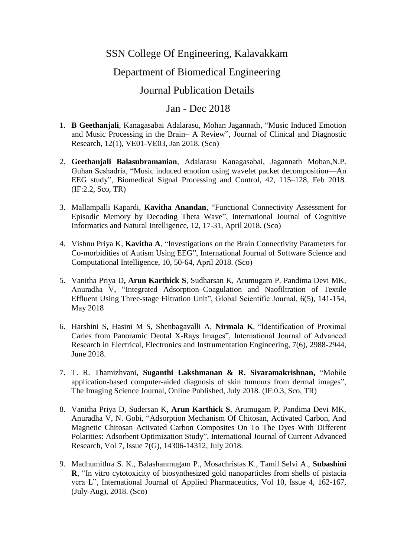## SSN College Of Engineering, Kalavakkam

## Department of Biomedical Engineering

## Journal Publication Details

## Jan - Dec 2018

- 1. **B Geethanjali**, Kanagasabai Adalarasu, Mohan Jagannath, "Music Induced Emotion and Music Processing in the Brain– A Review", Journal of Clinical and Diagnostic Research, 12(1), VE01-VE03, Jan 2018. (Sco)
- 2. **Geethanjali Balasubramanian**, Adalarasu Kanagasabai, Jagannath Mohan,N.P. Guhan Seshadria, "Music induced emotion using wavelet packet decomposition—An EEG study", Biomedical Signal Processing and Control, 42, 115–128, Feb 2018. (IF:2.2, Sco, TR)
- 3. Mallampalli Kapardi, **Kavitha Anandan**, "Functional Connectivity Assessment for Episodic Memory by Decoding Theta Wave", International Journal of Cognitive Informatics and Natural Intelligence, 12, 17-31, April 2018. (Sco)
- 4. Vishnu Priya K, **Kavitha A**, "Investigations on the Brain Connectivity Parameters for Co-morbidities of Autism Using EEG", International Journal of Software Science and Computational Intelligence, 10, 50-64, April 2018. (Sco)
- 5. Vanitha Priya D**, Arun Karthick S**, Sudharsan K, Arumugam P, Pandima Devi MK, Anuradha V, "Integrated Adsorption–Coagulation and Naofiltration of Textile Effluent Using Three-stage Filtration Unit", Global Scientific Journal, 6(5), 141-154, May 2018
- 6. Harshini S, Hasini M S, Shenbagavalli A, **Nirmala K**, "Identification of Proximal Caries from Panoramic Dental X-Rays Images", International Journal of Advanced Research in Electrical, Electronics and Instrumentation Engineering, 7(6), 2988-2944, June 2018.
- 7. T. R. Thamizhvani, **Suganthi Lakshmanan & R. Sivaramakrishnan,** "Mobile application-based computer-aided diagnosis of skin tumours from dermal images", The Imaging Science Journal, Online Published, July 2018. (IF:0.3, Sco, TR)
- 8. Vanitha Priya D, Sudersan K, **Arun Karthick S**, Arumugam P, Pandima Devi MK, Anuradha V, N. Gobi, "Adsorption Mechanism Of Chitosan, Activated Carbon, And Magnetic Chitosan Activated Carbon Composites On To The Dyes With Different Polarities: Adsorbent Optimization Study", International Journal of Current Advanced Research, Vol 7, Issue 7(G), 14306-14312, July 2018.
- 9. Madhumithra S. K., Balashanmugam P., Mosachristas K., Tamil Selvi A., **Subashini R**, "In vitro cytotoxicity of biosynthesized gold nanoparticles from shells of pistacia vera L", International Journal of Applied Pharmaceutics, Vol 10, Issue 4, 162-167, (July-Aug), 2018. (Sco)